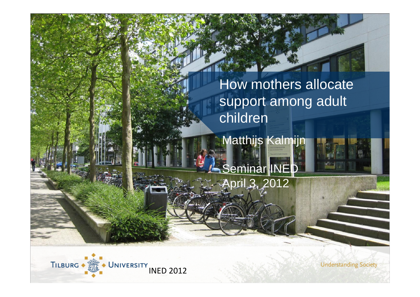How mothers allocate support among adult children

Matthijs Kalmijn Seminar INED

April 3, 2012



**Understanding Society**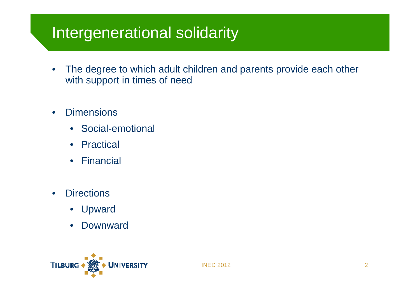## Intergenerational solidarity

- • The degree to which adult children and parents provide each other with support in times of need
- •**Dimensions** 
	- Social-emotional
	- $\bullet$ Practical
	- $\bullet$ Financial
- •**Directions** 
	- •**Upward**
	- $\bullet$ **Downward**

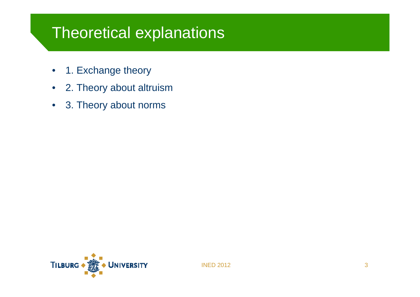#### Theoretical explanations

- •1. Exchange theory
- $\bullet$ 2. Theory about altruism
- $\bullet$ 3. Theory about norms

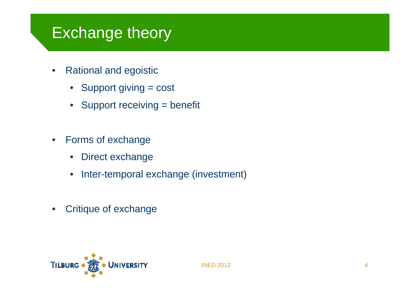#### Exchange theory

- $\bullet$  Rational and egoistic
	- Support giving = cost
	- Support receiving = benefit
- • Forms of exchange
	- $\bullet$ Direct exchange
	- •Inter-temporal exchange (investment)
- •Critique of exchange

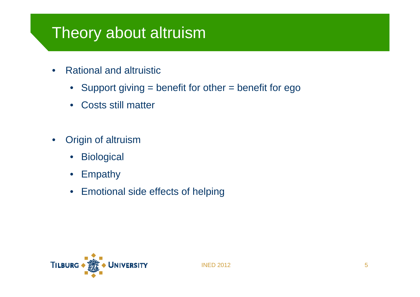## Theory about altruism

- • Rational and altruistic
	- $\bullet$ Support giving = benefit for other = benefit for ego
	- $\bullet$ Costs still matter
- • Origin of altruism
	- $\bullet$ **Biological**
	- $\bullet$ Empathy
	- $\bullet$ Emotional side effects of helping

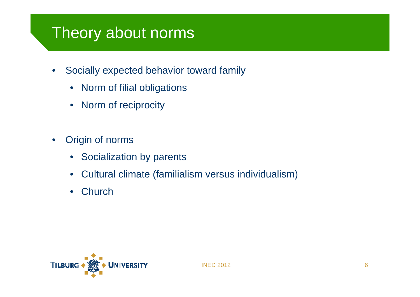# Theory about norms

- $\bullet$  Socially expected behavior toward family
	- $\bullet$ Norm of filial obligations
	- $\bullet$ Norm of reciprocity
- • Origin of norms
	- Socialization by parents
	- $\bullet$ Cultural climate (familialism versus individualism)
	- $\bullet$ **Church**

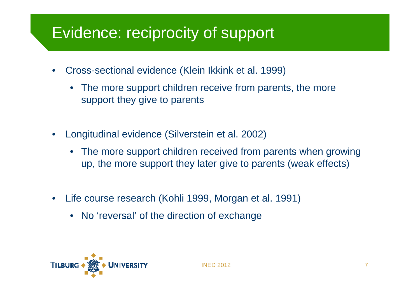# Evidence: reciprocity of support

- $\bullet$  Cross-sectional evidence (Klein Ikkink et al. 1999)
	- The more support children receive from parents, the more support they give to parents
- • Longitudinal evidence (Silverstein et al. 2002)
	- • The more support children received from parents when growing up, the more support they later give to parents (weak effects)
- • Life course research (Kohli 1999, Morgan et al. 1991)
	- No 'reversal' of the direction of exchange

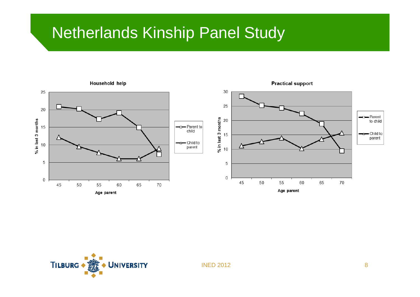#### Netherlands Kinship Panel Study

**TILBURG** 

UNIVERSITY

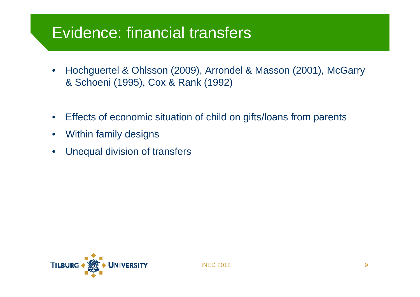#### Evidence: financial transfers

- $\bullet$  Hochguertel & Ohlsson (2009), Arrondel & Masson (2001), McGarry & Schoeni (1995), Cox & Rank (1992)
- $\bullet$ Effects of economic situation of child on gifts/loans from parents
- •Within family designs
- $\bullet$ Unequal division of transfers

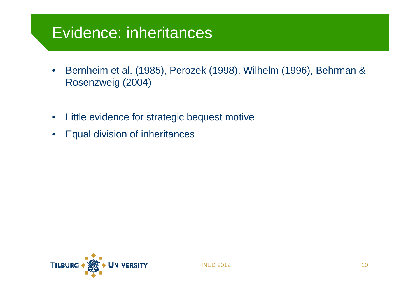#### Evidence: inheritances

- $\bullet$  Bernheim et al. (1985), Perozek (1998), Wilhelm (1996), Behrman & Rosenzweig (2004)
- •Little evidence for strategic bequest motive
- $\bullet$ Equal division of inheritances

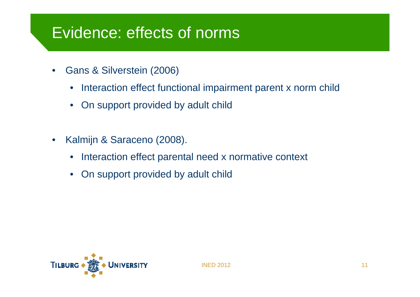#### Evidence: effects of norms

- • Gans & Silverstein (2006)
	- •Interaction effect functional impairment parent x norm child
	- $\bullet$ On support provided by adult child
- • Kalmijn & Saraceno (2008).
	- $\bullet$ Interaction effect parental need x normative context
	- $\bullet$ On support provided by adult child

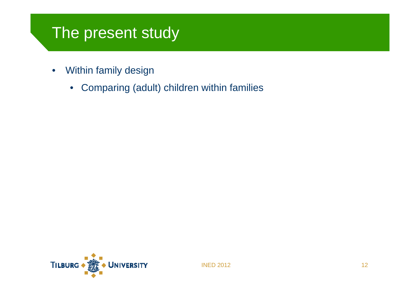## The present study

- $\bullet$  Within family design
	- $\bullet$ Comparing (adult) children within families

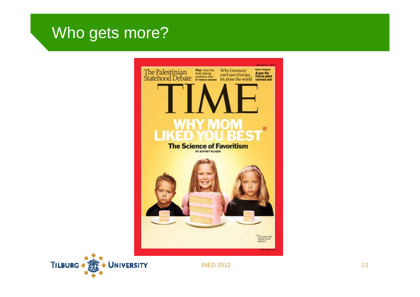#### Who gets more?



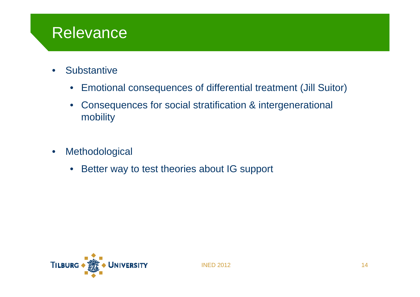#### Relevance

- •**Substantive** 
	- $\bullet$ Emotional consequences of differential treatment (Jill Suitor)
	- $\bullet$  Consequences for social stratification & intergenerational mobility
- • Methodological
	- $\bullet$ Better way to test theories about IG support

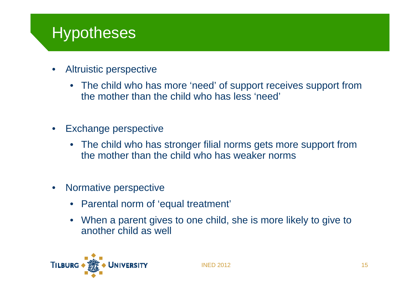# **Hypotheses**

- • Altruistic perspective
	- The child who has more 'need' of support receives support from the mother than the child who has less 'need'
- • Exchange perspective
	- The child who has stronger filial norms gets more support from the mother than the child who has weaker norms
- • Normative perspective
	- Parental norm of 'equal treatment'
	- When a parent gives to one child, she is more likely to give to another child as well

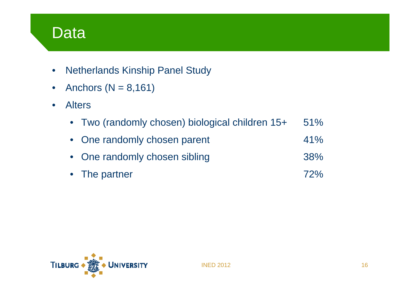#### Data

- •Netherlands Kinship Panel Study
- $\bullet$ Anchors ( $N = 8,161$ )
- $\bullet$  Alters
	- $\bullet$ Two (randomly chosen) biological children 15+ 51%
	- $\bullet$ One randomly chosen parent 41%
	- $\bullet$ One randomly chosen sibling and the same states of  $38\%$
	- $\bullet$ The partner  $\frac{72\%}{2\%}$

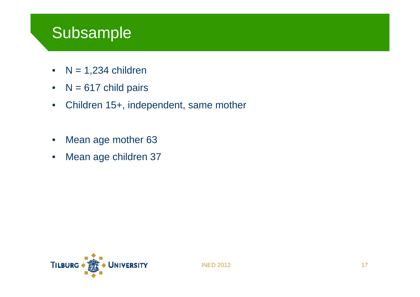#### Subsample

- N = 1,234 children
- $\bullet$  $N = 617$  child pairs
- $\bullet$ Children 15+, independent, same mother
- •Mean age mother 63
- •Mean age children 37

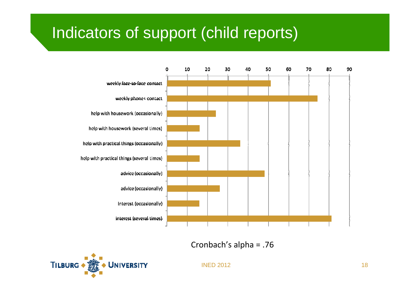# Indicators of support (child reports)



Cronbach's alpha = .76

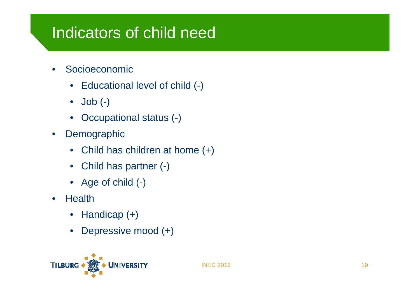## Indicators of child need

- • Socioeconomic
	- Educational level of child (-)
	- $\bullet$ Job (-)
	- $\bullet$ Occupational status (-)
- $\bullet$ **Demographic** 
	- Child has children at home (+)
	- $\bullet$ Child has partner (-)
	- Age of child (-)
- $\bullet$ **Health** 
	- $\bullet$ Handicap (+)
	- $\bullet$ Depressive mood (+)

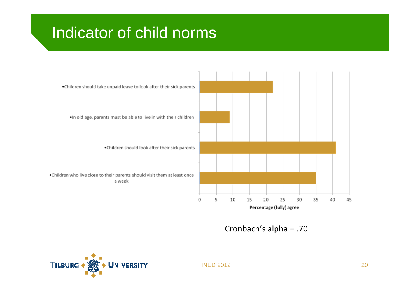# Indicator of child norms



Cronbach's alpha = .70

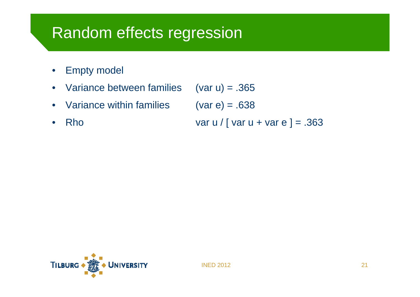#### Random effects regression

•Empty model

•

- $\bullet$ Variance between families (var u) = .365
- •Variance within families  $(var e) = .638$ 
	- Rho var u / [ var u + var e ] =  $.363$

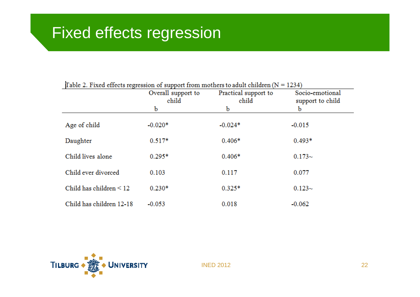| $\mu$ able 2. There effects regression or support from motifers to about emigren (iv $\pm$<br>12.777 |                             |                               |                                     |  |
|------------------------------------------------------------------------------------------------------|-----------------------------|-------------------------------|-------------------------------------|--|
|                                                                                                      | Overall support to<br>child | Practical support to<br>child | Socio-emotional<br>support to child |  |
|                                                                                                      | b                           | b                             | b                                   |  |
| Age of child                                                                                         | $-0.020*$                   | $-0.024*$                     | $-0.015$                            |  |
| Daughter                                                                                             | $0.517*$                    | $0.406*$                      | $0.493*$                            |  |
| Child lives alone                                                                                    | $0.295*$                    | $0.406*$                      | $0.173\sim$                         |  |
| Child ever divorced                                                                                  | 0.103                       | 0.117                         | 0.077                               |  |
| Child has children $\leq 12$                                                                         | $0.230*$                    | $0.325*$                      | $0.123-$                            |  |
| Child has children 12-18                                                                             | $-0.053$                    | 0.018                         | $-0.062$                            |  |

#### Table 2. Fixed effects regression of support from mothers to adult children  $(N = 1234)$

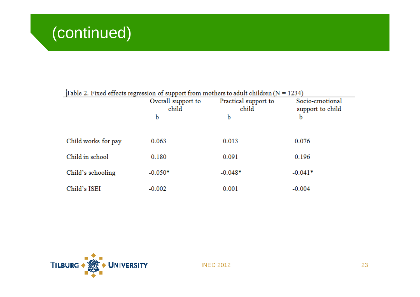| $\mu$ able 2. There effects regression or support from motifers to again emigren (iv $\pm$<br>工会之主! |                             |                               |                                     |  |
|-----------------------------------------------------------------------------------------------------|-----------------------------|-------------------------------|-------------------------------------|--|
|                                                                                                     | Overall support to<br>child | Practical support to<br>child | Socio-emotional<br>support to child |  |
|                                                                                                     | b                           | b                             | b                                   |  |
|                                                                                                     |                             |                               |                                     |  |
| Child works for pay                                                                                 | 0.063                       | 0.013                         | 0.076                               |  |
| Child in school                                                                                     | 0.180                       | 0.091                         | 0.196                               |  |
| Child's schooling                                                                                   | $-0.050*$                   | $-0.048*$                     | $-0.041*$                           |  |
| Child's ISEI                                                                                        | $-0.002$                    | 0.001                         | $-0.004$                            |  |

Table 2. Fixed effects regression of support from mothers to adult children  $(N = 1234)$ 

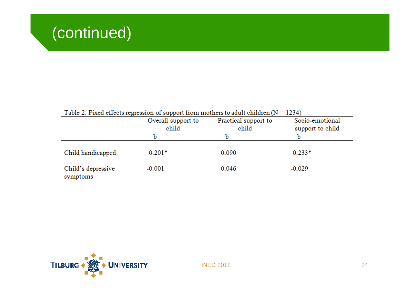| Table 2. Fixed effects regression of support from mothers to adult children $(N = 1234)$ |                             |                               |                                     |
|------------------------------------------------------------------------------------------|-----------------------------|-------------------------------|-------------------------------------|
|                                                                                          | Overall support to<br>child | Practical support to<br>child | Socio-emotional<br>support to child |
|                                                                                          |                             | b                             |                                     |
| Child handicapped                                                                        | $0.201*$                    | 0.090                         | $0.233*$                            |
| Child's depressive<br>symptoms                                                           | $-0.001$                    | 0.046                         | $-0.029$                            |

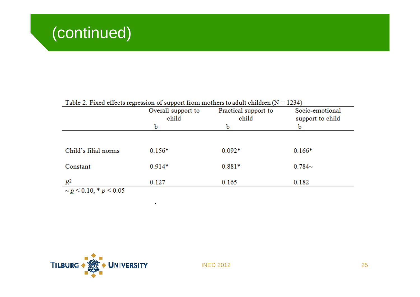| Table 2. Fixed effects regression of support from mothers to adult children $(N = 1234)$ |                    |                      |                  |  |
|------------------------------------------------------------------------------------------|--------------------|----------------------|------------------|--|
|                                                                                          | Overall support to | Practical support to | Socio-emotional  |  |
|                                                                                          | child              | child                | support to child |  |
|                                                                                          | b                  | b                    |                  |  |
|                                                                                          |                    |                      |                  |  |
| Child's filial norms                                                                     | $0.156*$           | $0.092*$             | $0.166*$         |  |
| Constant                                                                                 | $0.914*$           | $0.881*$             | $0.784-$         |  |
| $R^2$                                                                                    | 0.127              | 0.165                | 0.182            |  |
| $\sim p \leq 0.10$ , * $p \leq 0.05$                                                     |                    |                      |                  |  |



 $\sim 10$ 

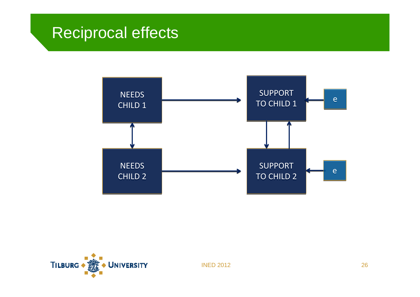#### Reciprocal effects



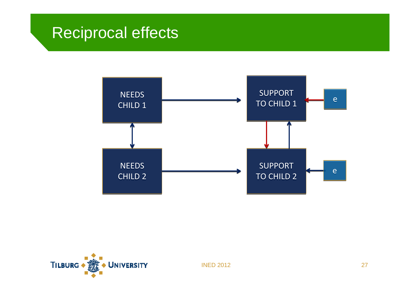#### Reciprocal effects



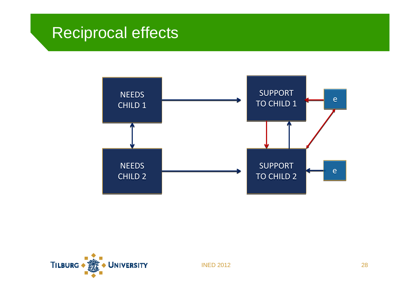## Reciprocal effects



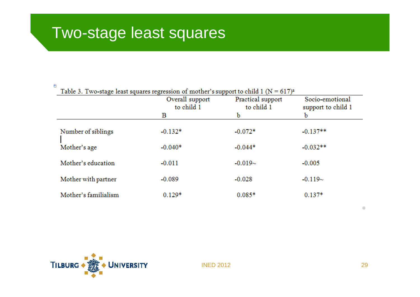#### P.

Table 3. Two-stage least squares regression of mother's support to child 1 ( $N = 617$ )<sup>a</sup>

|                      | Overall support<br>to child 1 | Practical support<br>to child 1 | Socio-emotional<br>support to child 1 |
|----------------------|-------------------------------|---------------------------------|---------------------------------------|
|                      | в                             | b                               | b                                     |
| Number of siblings   | $-0.132*$                     | $-0.072*$                       | $-0.137**$                            |
| Mother's age         | $-0.040*$                     | $-0.044*$                       | $-0.032**$                            |
| Mother's education   | $-0.011$                      | $-0.019-$                       | $-0.005$                              |
| Mother with partner  | $-0.089$                      | $-0.028$                        | $-0.119-$                             |
| Mother's familialism | $0.129*$                      | $0.085*$                        | $0.137*$                              |



INED 2012

 $\Box$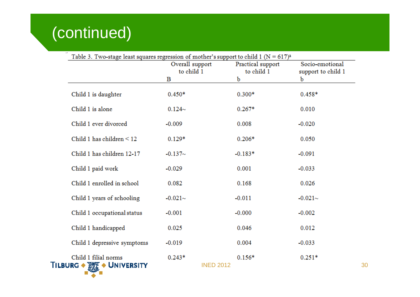# (continued)

**The State of Books** 

| Table 3. Two-stage least squares regression of mother's support to child 1 ( $N = 617$ ) <sup>a</sup> | Overall support<br>to child 1<br>В | Practical support<br>to child 1<br>b | Socio-emotional<br>support to child 1<br>b |
|-------------------------------------------------------------------------------------------------------|------------------------------------|--------------------------------------|--------------------------------------------|
| Child 1 is daughter                                                                                   | $0.450*$                           | $0.300*$                             | $0.458*$                                   |
| Child 1 is alone                                                                                      | $0.124-$                           | $0.267*$                             | 0.010                                      |
| Child 1 ever divorced                                                                                 | $-0.009$                           | 0.008                                | $-0.020$                                   |
| Child 1 has children $\leq 12$                                                                        | $0.129*$                           | $0.206*$                             | 0.050                                      |
| Child 1 has children 12-17                                                                            | $-0.137-$                          | $-0.183*$                            | $-0.091$                                   |
| Child 1 paid work                                                                                     | $-0.029$                           | 0.001                                | $-0.033$                                   |
| Child 1 enrolled in school                                                                            | 0.082                              | 0.168                                | 0.026                                      |
| Child 1 years of schooling                                                                            | $-0.021-$                          | $-0.011$                             | $-0.021-$                                  |
| Child 1 occupational status                                                                           | $-0.001$                           | $-0.000$                             | $-0.002$                                   |
| Child 1 handicapped                                                                                   | 0.025                              | 0.046                                | 0.012                                      |
| Child 1 depressive symptoms                                                                           | $-0.019$                           | 0.004                                | $-0.033$                                   |
| Child 1 filial norms<br>TILBURG • <b>THE • UNIVERSITY</b>                                             | $0.243*$<br><b>INED 2012</b>       | $0.156*$                             | $0.251*$                                   |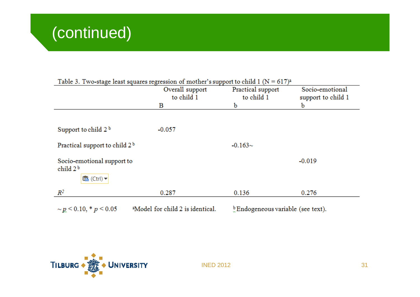|                                                              | Overall support<br>to child 1 | Practical support<br>to child 1 | Socio-emotional<br>support to child 1 |
|--------------------------------------------------------------|-------------------------------|---------------------------------|---------------------------------------|
|                                                              | В                             | b                               | b                                     |
|                                                              |                               |                                 |                                       |
| Support to child $2b$                                        | $-0.057$                      |                                 |                                       |
| Practical support to child $2b$                              |                               | $-0.163-$                       |                                       |
| Socio-emotional support to<br>child $2b$<br><b>卷</b> (Ctrl)▼ |                               |                                 | $-0.019$                              |
| $R^2$                                                        | 0.287                         | 0.136                           | 0.276                                 |

#### Table 2. Two stage least squares regression of mother's support to obild  $1/N = 617$ )

 $\sim p \le 0.10, *p \le 0.05$ 

<sup>a</sup>Model for child 2 is identical.

<sup>b</sup> Endogeneous variable (see text).